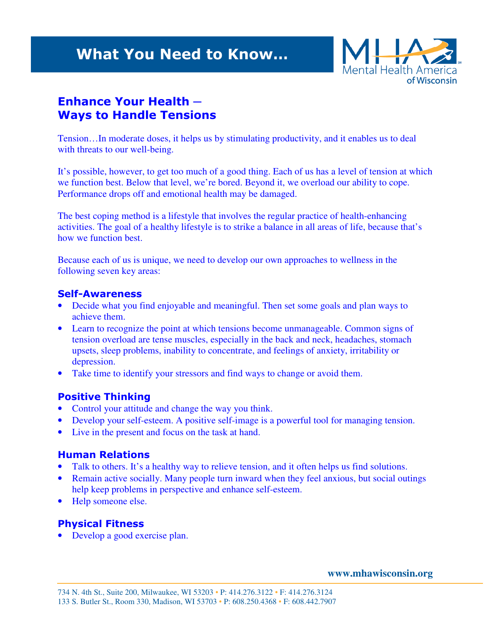# What You Need to Know…



# Enhance Your Health ─ Ways to Handle Tensions

Tension…In moderate doses, it helps us by stimulating productivity, and it enables us to deal with threats to our well-being.

It's possible, however, to get too much of a good thing. Each of us has a level of tension at which we function best. Below that level, we're bored. Beyond it, we overload our ability to cope. Performance drops off and emotional health may be damaged.

The best coping method is a lifestyle that involves the regular practice of health-enhancing activities. The goal of a healthy lifestyle is to strike a balance in all areas of life, because that's how we function best.

Because each of us is unique, we need to develop our own approaches to wellness in the following seven key areas:

#### Self-Awareness

- Decide what you find enjoyable and meaningful. Then set some goals and plan ways to achieve them.
- Learn to recognize the point at which tensions become unmanageable. Common signs of tension overload are tense muscles, especially in the back and neck, headaches, stomach upsets, sleep problems, inability to concentrate, and feelings of anxiety, irritability or depression.
- Take time to identify your stressors and find ways to change or avoid them.

### Positive Thinking

- Control your attitude and change the way you think.
- Develop your self-esteem. A positive self-image is a powerful tool for managing tension.
- Live in the present and focus on the task at hand.

### Human Relations

- Talk to others. It's a healthy way to relieve tension, and it often helps us find solutions.
- Remain active socially. Many people turn inward when they feel anxious, but social outings help keep problems in perspective and enhance self-esteem.
- Help someone else.

## Physical Fitness

• Develop a good exercise plan.

**www.mhawisconsin.org**